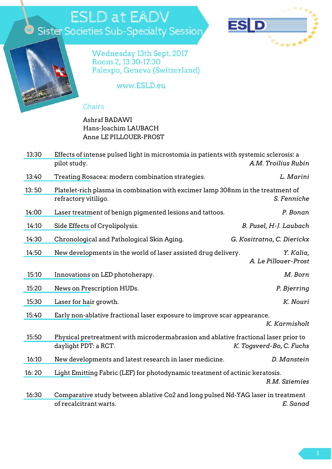## **ESLD at EADV** Sister Societies Sub-Specialty Session





Wednesday 13th Sept. 2017<br>Room 2, 13:30-17:30 Palexpo, Geneva (Switzerland)

www.ESLD.eu

## Chairs

## Ashraf BADAWI Hans-Joachim LAUBACH Anne LE PILLOUER-PROST

| 13:30 | Effects of intense pulsed light in microstomia in patients with systemic sclerosis: a<br>pilot study.<br>A.M. Troilius Rubin |                                   |
|-------|------------------------------------------------------------------------------------------------------------------------------|-----------------------------------|
| 13:40 | Treating Rosacea: modern combination strategies.                                                                             | L. Marini                         |
| 13:50 | Platelet-rich plasma in combination with excimer lamp 308nm in the treatment of<br>refractory vitiligo.                      | S. Fenniche                       |
| 14:00 | Laser treatment of benign pigmented lesions and tattoos.                                                                     | P. Bonan                          |
| 14:10 | Side Effects of Cryolipolysis.                                                                                               | B. Pusel, H-J. Laubach            |
| 14:30 | Chronological and Pathological Skin Aging.                                                                                   | G. Kositratna, C. Dierickx        |
| 14:50 | New developments in the world of laser assisted drug delivery.                                                               | Y. Kalia,<br>A. Le Pillouer-Prost |
| 15:10 | Innovations on LED photoherapy.                                                                                              | M. Born                           |
| 15:20 | News on Prescription HUDs.                                                                                                   | P. Bjerring                       |
| 15:30 | Laser for hair growth.                                                                                                       | K. Nouri                          |
| 15:40 | Early non-ablative fractional laser exposure to improve scar appearance.                                                     | K. Karmisholt                     |
| 15:50 | Physical pretreatment with microdermabrasion and ablative fractional laser prior to<br>daylight PDT: a RCT.                  | K. Togsverd-Bo, C. Fuchs          |
| 16:10 | New developments and latest research in laser medicine.                                                                      | D. Manstein                       |
| 16:20 | Light Emitting Fabric (LEF) for photodynamic treatment of actinic keratosis.                                                 | R.M. Sziemies                     |
| 16:30 | Comparative study between ablative Co2 and long pulsed Nd-YAG laser in treatment<br>of recalcitrant warts.                   | E. Sanad                          |